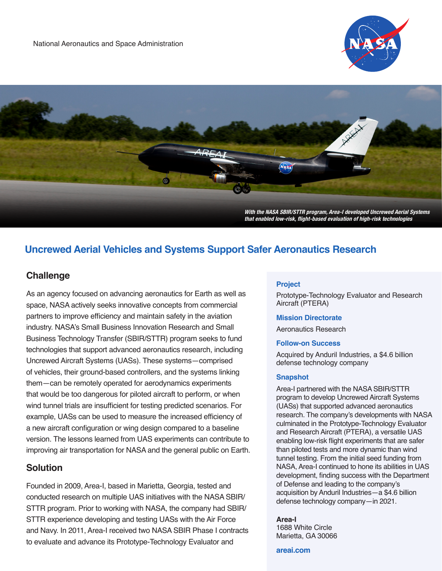



# **Uncrewed Aerial Vehicles and Systems Support Safer Aeronautics Research**

## **Challenge**

As an agency focused on advancing aeronautics for Earth as well as space, NASA actively seeks innovative concepts from commercial partners to improve efficiency and maintain safety in the aviation industry. NASA's Small Business Innovation Research and Small Business Technology Transfer (SBIR/STTR) program seeks to fund technologies that support advanced aeronautics research, including Uncrewed Aircraft Systems (UASs). These systems—comprised of vehicles, their ground-based controllers, and the systems linking them—can be remotely operated for aerodynamics experiments that would be too dangerous for piloted aircraft to perform, or when wind tunnel trials are insufficient for testing predicted scenarios. For example, UASs can be used to measure the increased efficiency of a new aircraft configuration or wing design compared to a baseline version. The lessons learned from UAS experiments can contribute to improving air transportation for NASA and the general public on Earth.

### **Solution**

Founded in 2009, Area-I, based in Marietta, Georgia, tested and conducted research on multiple UAS initiatives with the NASA SBIR/ STTR program. Prior to working with NASA, the company had SBIR/ STTR experience developing and testing UASs with the Air Force and Navy. In 2011, Area-I received two NASA SBIR Phase I contracts to evaluate and advance its Prototype-Technology Evaluator and

#### **Project**

Prototype-Technology Evaluator and Research Aircraft (PTERA)

#### **Mission Directorate**

Aeronautics Research

#### **Follow-on Success**

Acquired by Anduril Industries, a \$4.6 billion defense technology company

#### **Snapshot**

Area-I partnered with the NASA SBIR/STTR program to develop Uncrewed Aircraft Systems (UASs) that supported advanced aeronautics research. The company's developments with NASA culminated in the Prototype-Technology Evaluator and Research Aircraft (PTERA), a versatile UAS enabling low-risk flight experiments that are safer than piloted tests and more dynamic than wind tunnel testing. From the initial seed funding from NASA, Area-I continued to hone its abilities in UAS development, finding success with the Department of Defense and leading to the company's acquisition by Anduril Industries—a \$4.6 billion defense technology company—in 2021.

#### **Area-I**

1688 White Circle Marietta, GA 30066

**[areai.com](https://areai.com/)**